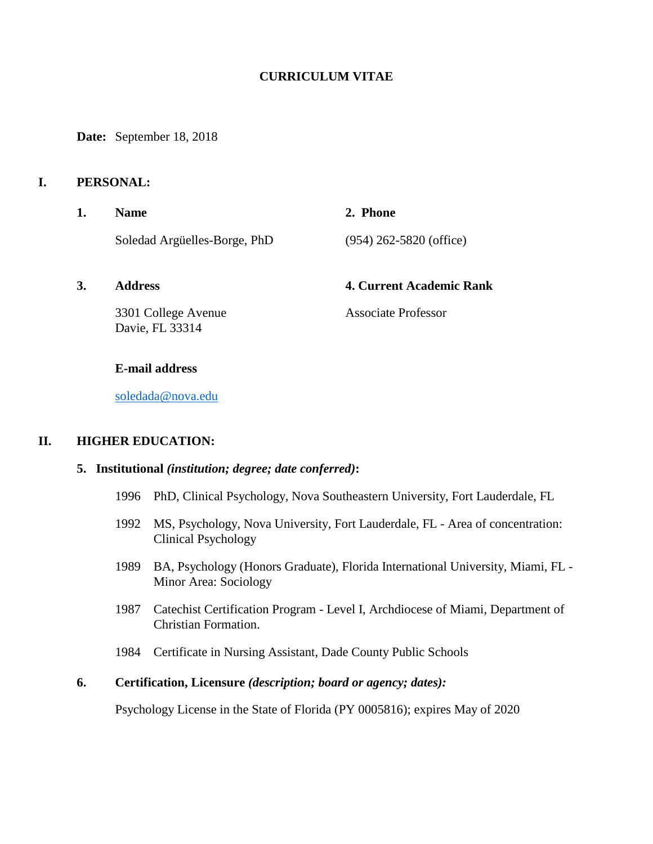## **CURRICULUM VITAE**

**Date:** September 18, 2018

### **I. PERSONAL:**

- **1. Name 2. Phone**  Soledad Argüelles-Borge, PhD (954) 262-5820 (office)
- 

#### **3. Address 4. Current Academic Rank**

3301 College Avenue Associate Professor Davie, FL 33314

#### **E-mail address**

[soledada@nova.edu](mailto:soledada@nova.edu)

### **II. HIGHER EDUCATION:**

## **5. Institutional** *(institution; degree; date conferred)***:**

- 1996 PhD, Clinical Psychology, Nova Southeastern University, Fort Lauderdale, FL
- 1992 MS, Psychology, Nova University, Fort Lauderdale, FL Area of concentration: Clinical Psychology
- 1989 BA, Psychology (Honors Graduate), Florida International University, Miami, FL Minor Area: Sociology
- 1987 Catechist Certification Program Level I, Archdiocese of Miami, Department of Christian Formation.
- 1984 Certificate in Nursing Assistant, Dade County Public Schools

## **6. Certification, Licensure** *(description; board or agency; dates):*

Psychology License in the State of Florida (PY 0005816); expires May of 2020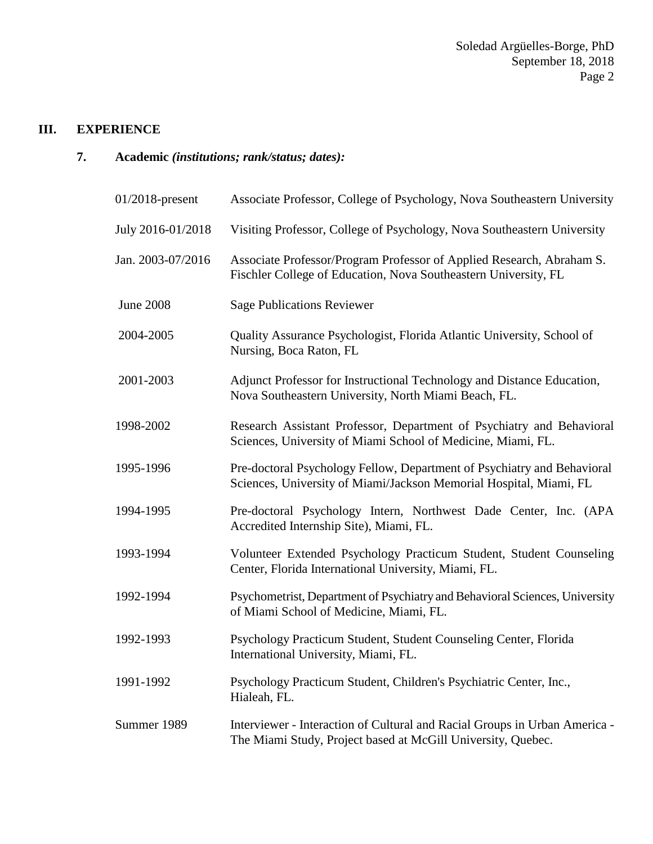# **III. EXPERIENCE**

**7. Academic** *(institutions; rank/status; dates):*

| $01/2018$ -present | Associate Professor, College of Psychology, Nova Southeastern University                                                                      |
|--------------------|-----------------------------------------------------------------------------------------------------------------------------------------------|
| July 2016-01/2018  | Visiting Professor, College of Psychology, Nova Southeastern University                                                                       |
| Jan. 2003-07/2016  | Associate Professor/Program Professor of Applied Research, Abraham S.<br>Fischler College of Education, Nova Southeastern University, FL      |
| <b>June 2008</b>   | <b>Sage Publications Reviewer</b>                                                                                                             |
| 2004-2005          | Quality Assurance Psychologist, Florida Atlantic University, School of<br>Nursing, Boca Raton, FL                                             |
| 2001-2003          | Adjunct Professor for Instructional Technology and Distance Education,<br>Nova Southeastern University, North Miami Beach, FL.                |
| 1998-2002          | Research Assistant Professor, Department of Psychiatry and Behavioral<br>Sciences, University of Miami School of Medicine, Miami, FL.         |
| 1995-1996          | Pre-doctoral Psychology Fellow, Department of Psychiatry and Behavioral<br>Sciences, University of Miami/Jackson Memorial Hospital, Miami, FL |
| 1994-1995          | Pre-doctoral Psychology Intern, Northwest Dade Center, Inc. (APA<br>Accredited Internship Site), Miami, FL.                                   |
| 1993-1994          | Volunteer Extended Psychology Practicum Student, Student Counseling<br>Center, Florida International University, Miami, FL.                   |
| 1992-1994          | Psychometrist, Department of Psychiatry and Behavioral Sciences, University<br>of Miami School of Medicine, Miami, FL.                        |
| 1992-1993          | Psychology Practicum Student, Student Counseling Center, Florida<br>International University, Miami, FL.                                      |
| 1991-1992          | Psychology Practicum Student, Children's Psychiatric Center, Inc.,<br>Hialeah, FL.                                                            |
| Summer 1989        | Interviewer - Interaction of Cultural and Racial Groups in Urban America -<br>The Miami Study, Project based at McGill University, Quebec.    |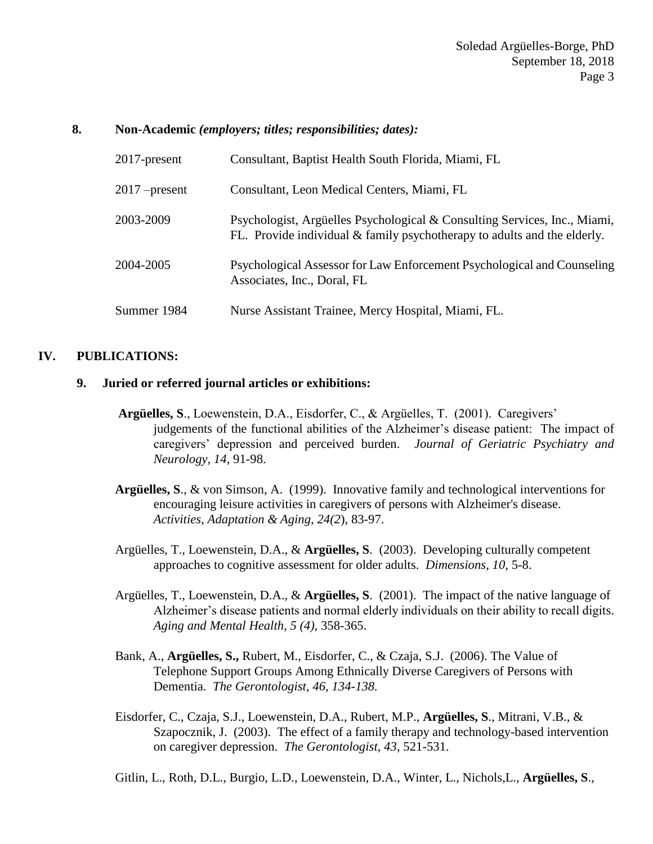#### **8. Non-Academic** *(employers; titles; responsibilities; dates):*

| $2017$ -present | Consultant, Baptist Health South Florida, Miami, FL                                                                                                     |
|-----------------|---------------------------------------------------------------------------------------------------------------------------------------------------------|
| $2017$ –present | Consultant, Leon Medical Centers, Miami, FL                                                                                                             |
| 2003-2009       | Psychologist, Argüelles Psychological & Consulting Services, Inc., Miami,<br>FL. Provide individual $&$ family psychotherapy to adults and the elderly. |
| 2004-2005       | Psychological Assessor for Law Enforcement Psychological and Counseling<br>Associates, Inc., Doral, FL                                                  |
| Summer 1984     | Nurse Assistant Trainee, Mercy Hospital, Miami, FL.                                                                                                     |

### **IV. PUBLICATIONS:**

#### **9. Juried or referred journal articles or exhibitions:**

- **Argüelles, S**., Loewenstein, D.A., Eisdorfer, C., & Argüelles, T. (2001). Caregivers' judgements of the functional abilities of the Alzheimer's disease patient: The impact of caregivers' depression and perceived burden. *Journal of Geriatric Psychiatry and Neurology, 14*, 91-98.
- **Argüelles, S**., & von Simson, A. (1999). Innovative family and technological interventions for encouraging leisure activities in caregivers of persons with Alzheimer's disease. *Activities, Adaptation & Aging, 24(2*), 83-97.
- Argüelles, T., Loewenstein, D.A., & **Argüelles, S**. (2003). Developing culturally competent approaches to cognitive assessment for older adults. *Dimensions*, *10*, 5-8.
- Argüelles, T., Loewenstein, D.A., & **Argüelles, S**. (2001). The impact of the native language of Alzheimer's disease patients and normal elderly individuals on their ability to recall digits. *Aging and Mental Health, 5 (4)*, 358-365.
- Bank, A., **Argüelles, S.,** Rubert, M., Eisdorfer, C., & Czaja, S.J. (2006). The Value of Telephone Support Groups Among Ethnically Diverse Caregivers of Persons with Dementia. *The Gerontologist, 46, 134-138.*
- Eisdorfer, C., Czaja, S.J., Loewenstein, D.A., Rubert, M.P., **Argüelles, S**., Mitrani, V.B., & Szapocznik, J. (2003). The effect of a family therapy and technology-based intervention on caregiver depression. *The Gerontologist, 43*, 521-531.
- Gitlin, L., Roth, D.L., Burgio, L.D., Loewenstein, D.A., Winter, L., Nichols,L., **Argüelles, S**.,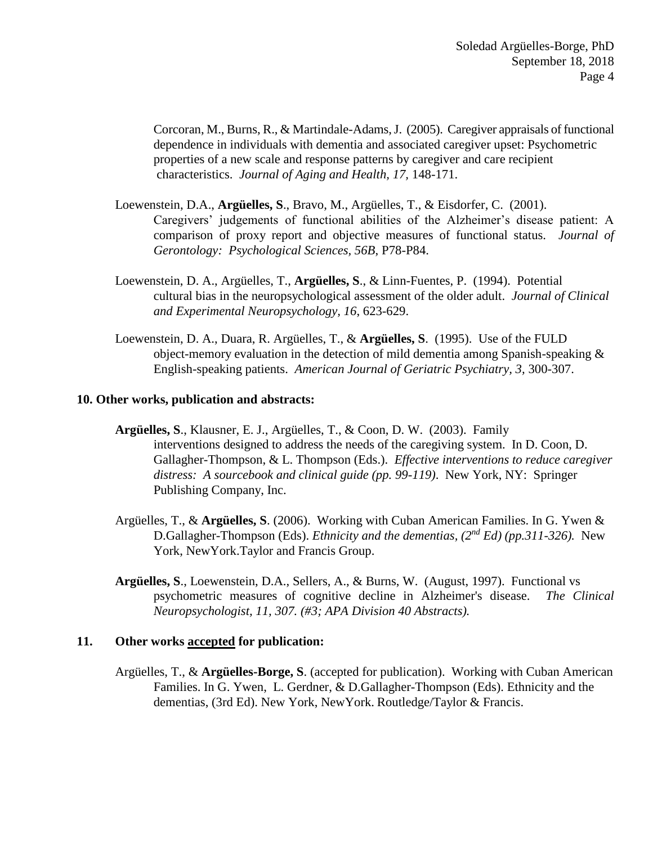Corcoran, M., Burns, R., & Martindale-Adams, J. (2005). Caregiver appraisals of functional dependence in individuals with dementia and associated caregiver upset: Psychometric properties of a new scale and response patterns by caregiver and care recipient characteristics. *Journal of Aging and Health, 17,* 148-171.

- Loewenstein, D.A., **Argüelles, S**., Bravo, M., Argüelles, T., & Eisdorfer, C. (2001). Caregivers' judgements of functional abilities of the Alzheimer's disease patient: A comparison of proxy report and objective measures of functional status. *Journal of Gerontology: Psychological Sciences, 56B*, P78-P84.
- Loewenstein, D. A., Argüelles, T., **Argüelles, S**., & Linn-Fuentes, P. (1994). Potential cultural bias in the neuropsychological assessment of the older adult. *Journal of Clinical and Experimental Neuropsychology, 16*, 623-629.
- Loewenstein, D. A., Duara, R. Argüelles, T., & **Argüelles, S**. (1995). Use of the FULD object-memory evaluation in the detection of mild dementia among Spanish-speaking & English-speaking patients. *American Journal of Geriatric Psychiatry, 3,* 300-307.

### **10. Other works, publication and abstracts:**

- **Argüelles, S**., Klausner, E. J., Argüelles, T., & Coon, D. W. (2003). Family interventions designed to address the needs of the caregiving system. In D. Coon, D. Gallagher-Thompson, & L. Thompson (Eds.). *Effective interventions to reduce caregiver distress: A sourcebook and clinical guide (pp. 99-119)*. New York, NY: Springer Publishing Company, Inc.
- Argüelles, T., & **Argüelles, S**. (2006). Working with Cuban American Families. In G. Ywen & D.Gallagher-Thompson (Eds). *Ethnicity and the dementias, (2nd Ed) (pp.311-326).* New York, NewYork.Taylor and Francis Group.
- **Argüelles, S**., Loewenstein, D.A., Sellers, A., & Burns, W. (August, 1997). Functional vs psychometric measures of cognitive decline in Alzheimer's disease. *The Clinical Neuropsychologist, 11, 307. (#3; APA Division 40 Abstracts).*

### **11. Other works accepted for publication:**

Argüelles, T., & **Argüelles-Borge, S**. (accepted for publication). Working with Cuban American Families. In G. Ywen, L. Gerdner, & D.Gallagher-Thompson (Eds). Ethnicity and the dementias, (3rd Ed). New York, NewYork. Routledge/Taylor & Francis.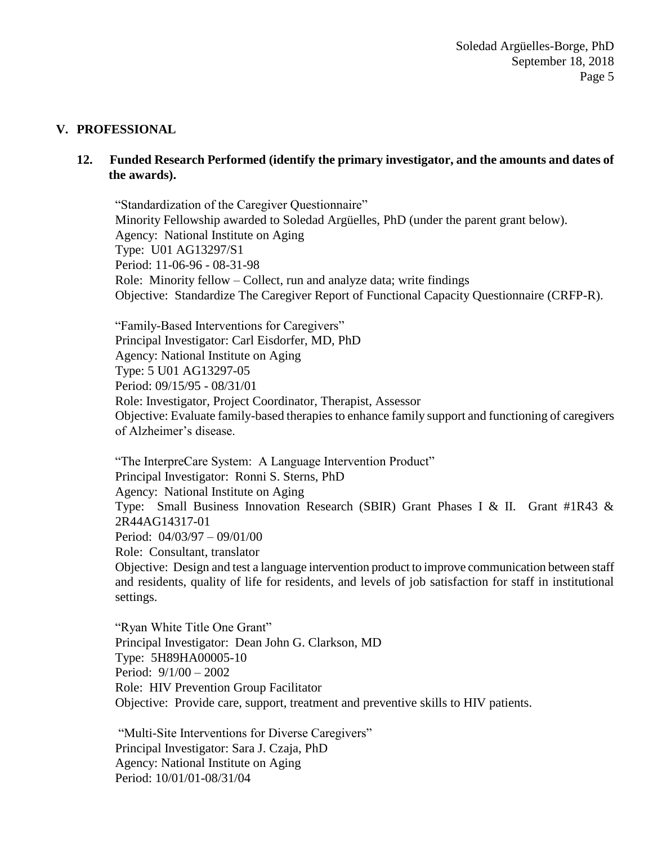## **V. PROFESSIONAL**

## **12. Funded Research Performed (identify the primary investigator, and the amounts and dates of the awards).**

"Standardization of the Caregiver Questionnaire" Minority Fellowship awarded to Soledad Argüelles, PhD (under the parent grant below). Agency: National Institute on Aging Type: U01 AG13297/S1 Period: 11-06-96 - 08-31-98 Role: Minority fellow – Collect, run and analyze data; write findings Objective: Standardize The Caregiver Report of Functional Capacity Questionnaire (CRFP-R).

"Family-Based Interventions for Caregivers" Principal Investigator: Carl Eisdorfer, MD, PhD Agency: National Institute on Aging Type: 5 U01 AG13297-05 Period: 09/15/95 - 08/31/01 Role: Investigator, Project Coordinator, Therapist, Assessor Objective: Evaluate family-based therapies to enhance family support and functioning of caregivers of Alzheimer's disease.

"The InterpreCare System: A Language Intervention Product" Principal Investigator: Ronni S. Sterns, PhD Agency: National Institute on Aging Type: Small Business Innovation Research (SBIR) Grant Phases I & II. Grant #1R43 & 2R44AG14317-01 Period: 04/03/97 – 09/01/00 Role: Consultant, translator Objective: Design and test a language intervention product to improve communication between staff

and residents, quality of life for residents, and levels of job satisfaction for staff in institutional settings.

"Ryan White Title One Grant" Principal Investigator: Dean John G. Clarkson, MD Type: 5H89HA00005-10 Period: 9/1/00 – 2002 Role: HIV Prevention Group Facilitator Objective: Provide care, support, treatment and preventive skills to HIV patients.

"Multi-Site Interventions for Diverse Caregivers" Principal Investigator: Sara J. Czaja, PhD Agency: National Institute on Aging Period: 10/01/01-08/31/04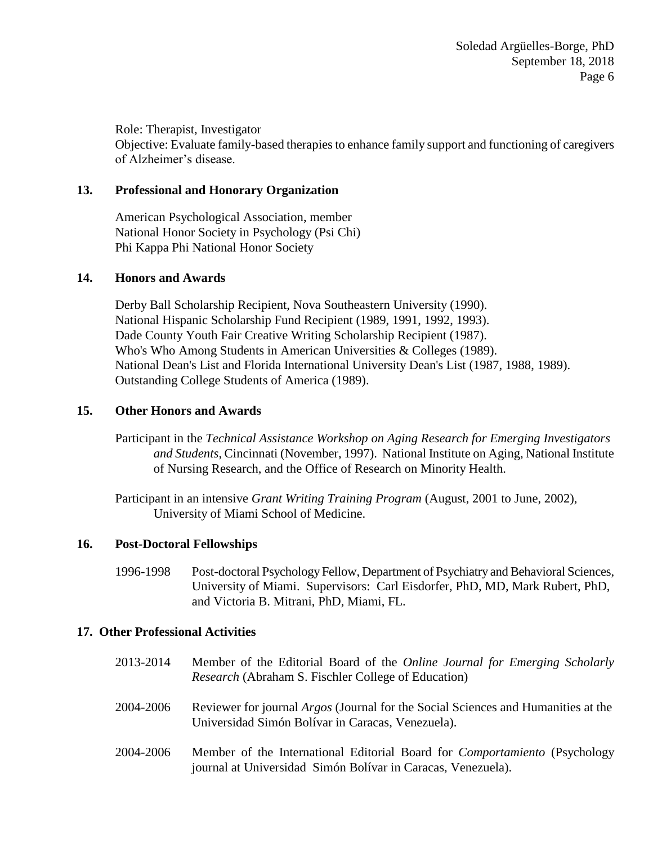Role: Therapist, Investigator Objective: Evaluate family-based therapies to enhance family support and functioning of caregivers of Alzheimer's disease.

## **13. Professional and Honorary Organization**

American Psychological Association, member National Honor Society in Psychology (Psi Chi) Phi Kappa Phi National Honor Society

## **14. Honors and Awards**

Derby Ball Scholarship Recipient, Nova Southeastern University (1990). National Hispanic Scholarship Fund Recipient (1989, 1991, 1992, 1993). Dade County Youth Fair Creative Writing Scholarship Recipient (1987). Who's Who Among Students in American Universities & Colleges (1989). National Dean's List and Florida International University Dean's List (1987, 1988, 1989). Outstanding College Students of America (1989).

## **15. Other Honors and Awards**

Participant in the *Technical Assistance Workshop on Aging Research for Emerging Investigators and Students*, Cincinnati (November, 1997). National Institute on Aging, National Institute of Nursing Research, and the Office of Research on Minority Health.

Participant in an intensive *Grant Writing Training Program* (August, 2001 to June, 2002), University of Miami School of Medicine.

## **16. Post-Doctoral Fellowships**

1996-1998 Post-doctoral Psychology Fellow, Department of Psychiatry and Behavioral Sciences, University of Miami. Supervisors: Carl Eisdorfer, PhD, MD, Mark Rubert, PhD, and Victoria B. Mitrani, PhD, Miami, FL.

### **17. Other Professional Activities**

- 2013-2014 Member of the Editorial Board of the *Online Journal for Emerging Scholarly Research* (Abraham S. Fischler College of Education)
- 2004-2006 Reviewer for journal *Argos* (Journal for the Social Sciences and Humanities at the Universidad Simón Bolívar in Caracas, Venezuela).
- 2004-2006 Member of the International Editorial Board for *Comportamiento* (Psychology journal at Universidad Simón Bolívar in Caracas, Venezuela).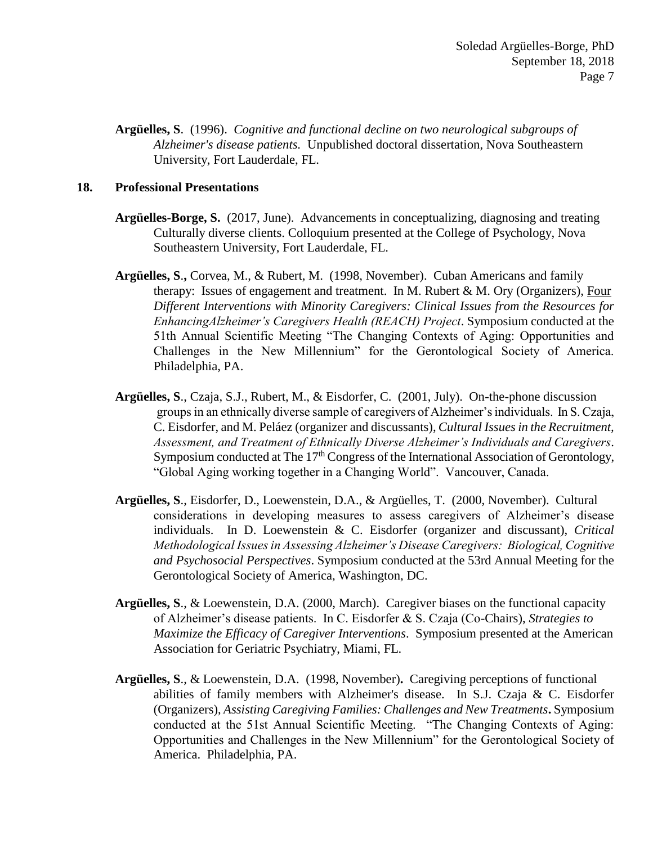**Argüelles, S**. (1996). *Cognitive and functional decline on two neurological subgroups of Alzheimer's disease patients.* Unpublished doctoral dissertation, Nova Southeastern University, Fort Lauderdale, FL.

### **18. Professional Presentations**

- **Argüelles-Borge, S.** (2017, June). Advancements in conceptualizing, diagnosing and treating Culturally diverse clients. Colloquium presented at the College of Psychology, Nova Southeastern University, Fort Lauderdale, FL.
- **Argüelles, S**.**,** Corvea, M., & Rubert, M. (1998, November). Cuban Americans and family therapy: Issues of engagement and treatment. In M. Rubert & M. Ory (Organizers), Four *Different Interventions with Minority Caregivers: Clinical Issues from the Resources for EnhancingAlzheimer's Caregivers Health (REACH) Project*. Symposium conducted at the 51th Annual Scientific Meeting "The Changing Contexts of Aging: Opportunities and Challenges in the New Millennium" for the Gerontological Society of America. Philadelphia, PA.
- **Argüelles, S**., Czaja, S.J., Rubert, M., & Eisdorfer, C. (2001, July). On-the-phone discussion groups in an ethnically diverse sample of caregivers of Alzheimer's individuals. In S. Czaja, C. Eisdorfer, and M. Peláez (organizer and discussants), *Cultural Issues in the Recruitment, Assessment, and Treatment of Ethnically Diverse Alzheimer's Individuals and Caregivers*. Symposium conducted at The 17<sup>th</sup> Congress of the International Association of Gerontology, "Global Aging working together in a Changing World". Vancouver, Canada.
- **Argüelles, S**., Eisdorfer, D., Loewenstein, D.A., & Argüelles, T. (2000, November). Cultural considerations in developing measures to assess caregivers of Alzheimer's disease individuals. In D. Loewenstein & C. Eisdorfer (organizer and discussant), *Critical Methodological Issues in Assessing Alzheimer's Disease Caregivers: Biological, Cognitive and Psychosocial Perspectives*. Symposium conducted at the 53rd Annual Meeting for the Gerontological Society of America, Washington, DC.
- **Argüelles, S**., & Loewenstein, D.A. (2000, March). Caregiver biases on the functional capacity of Alzheimer's disease patients. In C. Eisdorfer & S. Czaja (Co-Chairs), *Strategies to Maximize the Efficacy of Caregiver Interventions*. Symposium presented at the American Association for Geriatric Psychiatry, Miami, FL.
- **Argüelles, S**., & Loewenstein, D.A.(1998, November)**.** Caregiving perceptions of functional abilities of family members with Alzheimer's disease. In S.J. Czaja  $\& C$ . Eisdorfer (Organizers), *Assisting Caregiving Families: Challenges and New Treatments***.** Symposium conducted at the 51st Annual Scientific Meeting. "The Changing Contexts of Aging: Opportunities and Challenges in the New Millennium" for the Gerontological Society of America. Philadelphia, PA.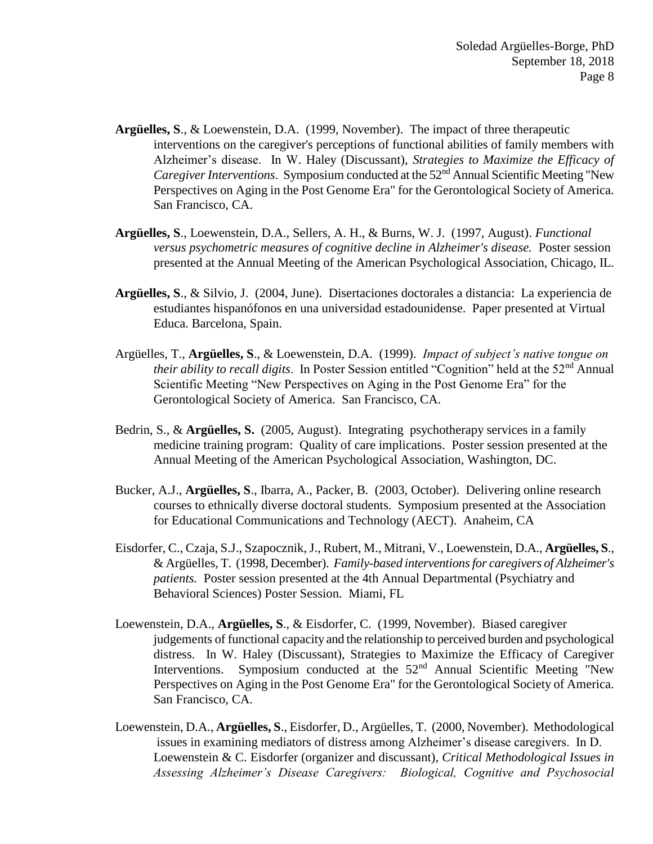- **Argüelles, S**., & Loewenstein, D.A. (1999, November). The impact of three therapeutic interventions on the caregiver's perceptions of functional abilities of family members with Alzheimer's disease. In W. Haley (Discussant), *Strategies to Maximize the Efficacy of Caregiver Interventions.* Symposium conducted at the 52<sup>nd</sup> Annual Scientific Meeting "New Perspectives on Aging in the Post Genome Era" for the Gerontological Society of America. San Francisco, CA.
- **Argüelles, S**., Loewenstein, D.A., Sellers, A. H., & Burns, W. J. (1997, August). *Functional versus psychometric measures of cognitive decline in Alzheimer's disease.* Poster session presented at the Annual Meeting of the American Psychological Association, Chicago, IL.
- **Argüelles, S**., & Silvio, J. (2004, June). Disertaciones doctorales a distancia: La experiencia de estudiantes hispanófonos en una universidad estadounidense. Paper presented at Virtual Educa. Barcelona, Spain.
- Argüelles, T., **Argüelles, S**., & Loewenstein, D.A. (1999). *Impact of subject's native tongue on their ability to recall digits*. In Poster Session entitled "Cognition" held at the 52<sup>nd</sup> Annual Scientific Meeting "New Perspectives on Aging in the Post Genome Era" for the Gerontological Society of America. San Francisco, CA.
- Bedrin, S., & **Argüelles, S.** (2005, August). Integrating psychotherapy services in a family medicine training program: Quality of care implications. Poster session presented at the Annual Meeting of the American Psychological Association, Washington, DC.
- Bucker, A.J., **Argüelles, S**., Ibarra, A., Packer, B. (2003, October). Delivering online research courses to ethnically diverse doctoral students. Symposium presented at the Association for Educational Communications and Technology (AECT). Anaheim, CA
- Eisdorfer, C., Czaja, S.J., Szapocznik, J., Rubert, M., Mitrani, V., Loewenstein, D.A., **Argüelles, S**., & Argüelles, T. (1998, December). *Family-based interventions for caregivers of Alzheimer's patients.* Poster session presented at the 4th Annual Departmental (Psychiatry and Behavioral Sciences) Poster Session. Miami, FL
- Loewenstein, D.A., **Argüelles, S**., & Eisdorfer, C. (1999, November). Biased caregiver judgements of functional capacity and the relationship to perceived burden and psychological distress.In W. Haley (Discussant), Strategies to Maximize the Efficacy of Caregiver Interventions. Symposium conducted at the 52<sup>nd</sup> Annual Scientific Meeting "New Perspectives on Aging in the Post Genome Era" for the Gerontological Society of America. San Francisco, CA.
- Loewenstein, D.A., **Argüelles, S**., Eisdorfer, D., Argüelles, T. (2000, November). Methodological issues in examining mediators of distress among Alzheimer's disease caregivers. In D. Loewenstein & C. Eisdorfer (organizer and discussant), *Critical Methodological Issues in Assessing Alzheimer's Disease Caregivers: Biological, Cognitive and Psychosocial*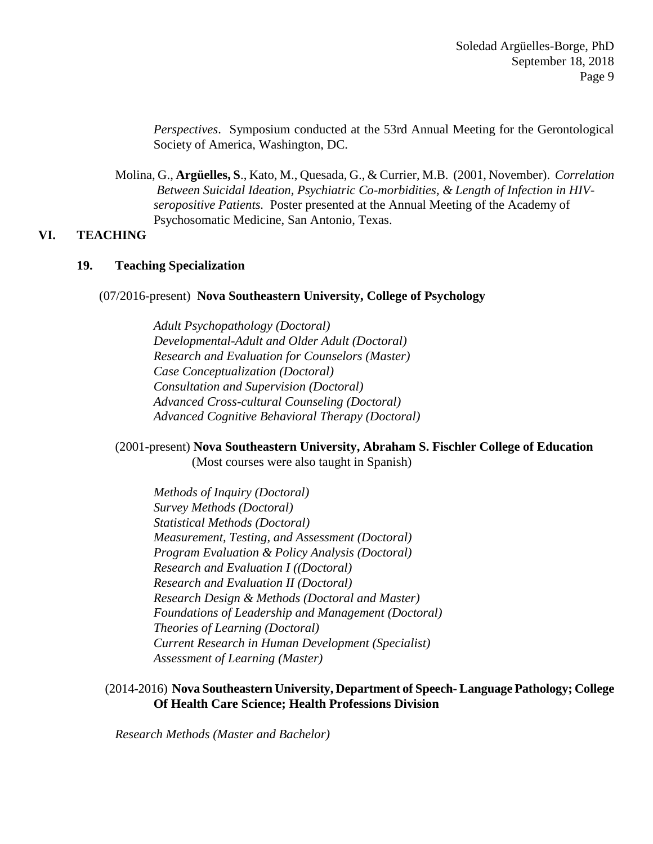*Perspectives*. Symposium conducted at the 53rd Annual Meeting for the Gerontological Society of America, Washington, DC.

Molina, G., **Argüelles, S**., Kato, M., Quesada, G., & Currier, M.B. (2001, November). *Correlation Between Suicidal Ideation, Psychiatric Co-morbidities, & Length of Infection in HIVseropositive Patients.* Poster presented at the Annual Meeting of the Academy of Psychosomatic Medicine, San Antonio, Texas.

## **VI. TEACHING**

### **19. Teaching Specialization**

#### (07/2016-present) **Nova Southeastern University, College of Psychology**

*Adult Psychopathology (Doctoral) Developmental-Adult and Older Adult (Doctoral) Research and Evaluation for Counselors (Master) Case Conceptualization (Doctoral) Consultation and Supervision (Doctoral) Advanced Cross-cultural Counseling (Doctoral) Advanced Cognitive Behavioral Therapy (Doctoral)*

#### (2001-present) **Nova Southeastern University, Abraham S. Fischler College of Education** (Most courses were also taught in Spanish)

*Methods of Inquiry (Doctoral) Survey Methods (Doctoral) Statistical Methods (Doctoral) Measurement, Testing, and Assessment (Doctoral) Program Evaluation & Policy Analysis (Doctoral) Research and Evaluation I ((Doctoral) Research and Evaluation II (Doctoral) Research Design & Methods (Doctoral and Master) Foundations of Leadership and Management (Doctoral) Theories of Learning (Doctoral) Current Research in Human Development (Specialist) Assessment of Learning (Master)*

## (2014-2016) **Nova Southeastern University, Department of Speech- Language Pathology; College Of Health Care Science; Health Professions Division**

*Research Methods (Master and Bachelor)*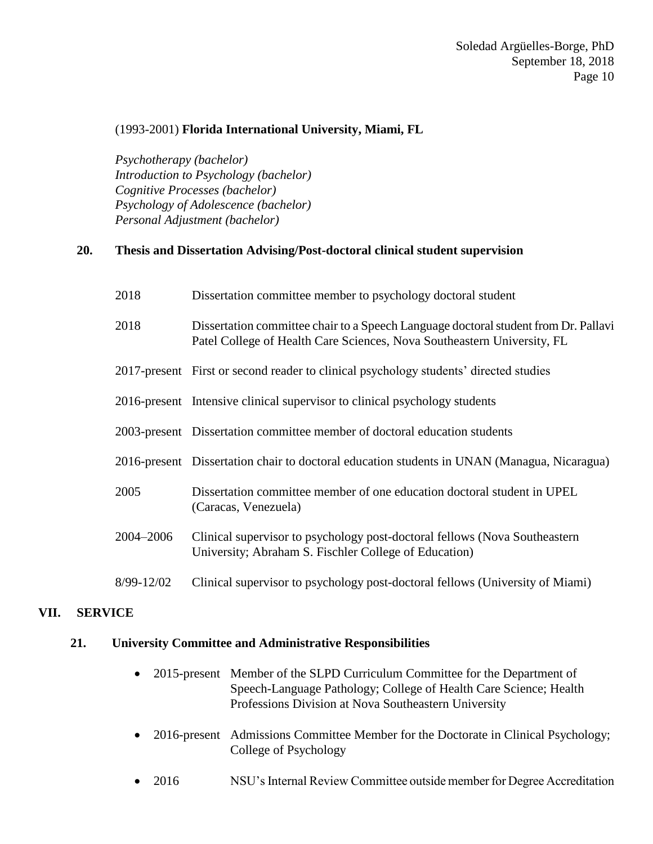## (1993-2001) **Florida International University, Miami, FL**

*Psychotherapy (bachelor) Introduction to Psychology (bachelor) Cognitive Processes (bachelor) Psychology of Adolescence (bachelor) Personal Adjustment (bachelor)*

## **20. Thesis and Dissertation Advising/Post-doctoral clinical student supervision**

| 2018 | Dissertation committee member to psychology doctoral student |  |  |  |
|------|--------------------------------------------------------------|--|--|--|
|      |                                                              |  |  |  |

- 2018 Dissertation committee chair to a Speech Language doctoral student from Dr. Pallavi Patel College of Health Care Sciences, Nova Southeastern University, FL
- 2017-present First or second reader to clinical psychology students' directed studies
- 2016-present Intensive clinical supervisor to clinical psychology students
- 2003-present Dissertation committee member of doctoral education students
- 2016-present Dissertation chair to doctoral education students in UNAN (Managua, Nicaragua)
- 2005 Dissertation committee member of one education doctoral student in UPEL (Caracas, Venezuela)
- 2004–2006 Clinical supervisor to psychology post-doctoral fellows (Nova Southeastern University; Abraham S. Fischler College of Education)
- 8/99-12/02 Clinical supervisor to psychology post-doctoral fellows (University of Miami)

## **VII. SERVICE**

### **21. University Committee and Administrative Responsibilities**

- 2015-present Member of the SLPD Curriculum Committee for the Department of Speech-Language Pathology; College of Health Care Science; Health Professions Division at Nova Southeastern University
- 2016-present Admissions Committee Member for the Doctorate in Clinical Psychology; College of Psychology
- 2016 NSU's Internal Review Committee outside member for Degree Accreditation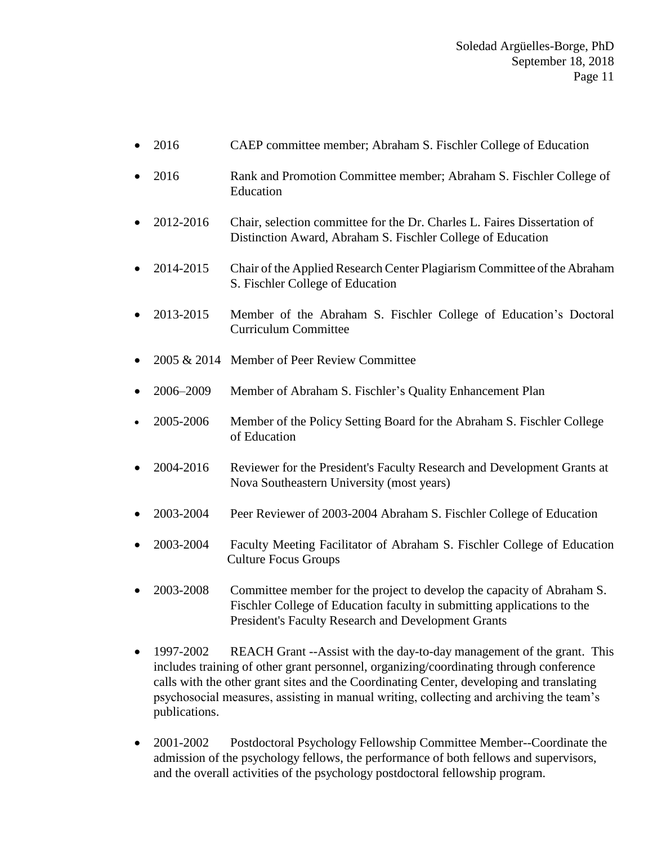## Soledad Argüelles-Borge, PhD September 18, 2018 Page 11

- 2016 CAEP committee member; Abraham S. Fischler College of Education
- 2016 Rank and Promotion Committee member; Abraham S. Fischler College of Education
- 2012-2016 Chair, selection committee for the Dr. Charles L. Faires Dissertation of Distinction Award, Abraham S. Fischler College of Education
- 2014-2015 Chair of the Applied Research Center Plagiarism Committee of the Abraham S. Fischler College of Education
- 2013-2015 Member of the Abraham S. Fischler College of Education's Doctoral Curriculum Committee
- 2005 & 2014 Member of Peer Review Committee
- 2006–2009 Member of Abraham S. Fischler's Quality Enhancement Plan
- 2005-2006 Member of the Policy Setting Board for the Abraham S. Fischler College of Education
- 2004-2016 Reviewer for the President's Faculty Research and Development Grants at Nova Southeastern University (most years)
- 2003-2004 Peer Reviewer of 2003-2004 Abraham S. Fischler College of Education
- 2003-2004 Faculty Meeting Facilitator of Abraham S. Fischler College of Education Culture Focus Groups
- 2003-2008 Committee member for the project to develop the capacity of Abraham S. Fischler College of Education faculty in submitting applications to the President's Faculty Research and Development Grants
- 1997-2002 REACH Grant --Assist with the day-to-day management of the grant. This includes training of other grant personnel, organizing/coordinating through conference calls with the other grant sites and the Coordinating Center, developing and translating psychosocial measures, assisting in manual writing, collecting and archiving the team's publications.
- 2001-2002 Postdoctoral Psychology Fellowship Committee Member--Coordinate the admission of the psychology fellows, the performance of both fellows and supervisors, and the overall activities of the psychology postdoctoral fellowship program.